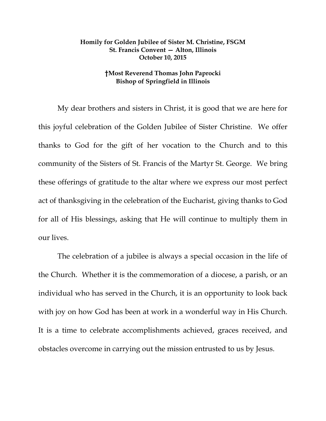## **Homily for Golden Jubilee of Sister M. Christine, FSGM St. Francis Convent — Alton, Illinois October 10, 2015**

## **†Most Reverend Thomas John Paprocki Bishop of Springfield in Illinois**

 My dear brothers and sisters in Christ, it is good that we are here for this joyful celebration of the Golden Jubilee of Sister Christine. We offer thanks to God for the gift of her vocation to the Church and to this community of the Sisters of St. Francis of the Martyr St. George. We bring these offerings of gratitude to the altar where we express our most perfect act of thanksgiving in the celebration of the Eucharist, giving thanks to God for all of His blessings, asking that He will continue to multiply them in our lives.

 The celebration of a jubilee is always a special occasion in the life of the Church. Whether it is the commemoration of a diocese, a parish, or an individual who has served in the Church, it is an opportunity to look back with joy on how God has been at work in a wonderful way in His Church. It is a time to celebrate accomplishments achieved, graces received, and obstacles overcome in carrying out the mission entrusted to us by Jesus.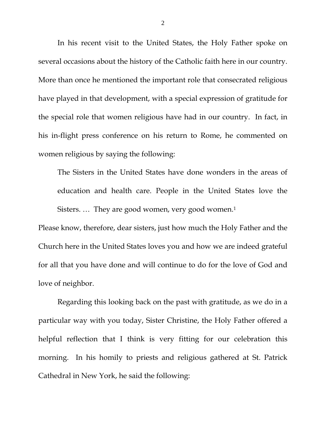In his recent visit to the United States, the Holy Father spoke on several occasions about the history of the Catholic faith here in our country. More than once he mentioned the important role that consecrated religious have played in that development, with a special expression of gratitude for the special role that women religious have had in our country. In fact, in his in-flight press conference on his return to Rome, he commented on women religious by saying the following:

The Sisters in the United States have done wonders in the areas of education and health care. People in the United States love the Sisters. ... They are good women, very good women.<sup>1</sup>

Please know, therefore, dear sisters, just how much the Holy Father and the Church here in the United States loves you and how we are indeed grateful for all that you have done and will continue to do for the love of God and love of neighbor.

 Regarding this looking back on the past with gratitude, as we do in a particular way with you today, Sister Christine, the Holy Father offered a helpful reflection that I think is very fitting for our celebration this morning. In his homily to priests and religious gathered at St. Patrick Cathedral in New York, he said the following:

2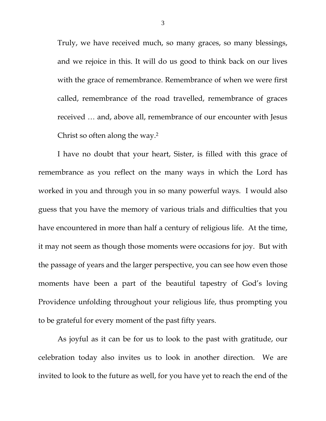Truly, we have received much, so many graces, so many blessings, and we rejoice in this. It will do us good to think back on our lives with the grace of remembrance. Remembrance of when we were first called, remembrance of the road travelled, remembrance of graces received … and, above all, remembrance of our encounter with Jesus Christ so often along the way.2

 I have no doubt that your heart, Sister, is filled with this grace of remembrance as you reflect on the many ways in which the Lord has worked in you and through you in so many powerful ways. I would also guess that you have the memory of various trials and difficulties that you have encountered in more than half a century of religious life. At the time, it may not seem as though those moments were occasions for joy. But with the passage of years and the larger perspective, you can see how even those moments have been a part of the beautiful tapestry of God's loving Providence unfolding throughout your religious life, thus prompting you to be grateful for every moment of the past fifty years.

 As joyful as it can be for us to look to the past with gratitude, our celebration today also invites us to look in another direction. We are invited to look to the future as well, for you have yet to reach the end of the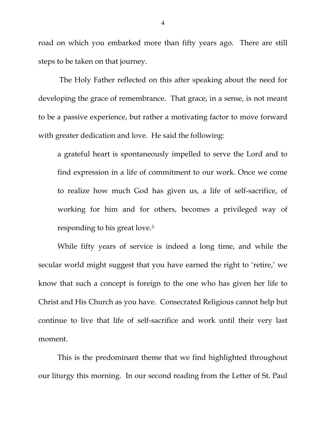road on which you embarked more than fifty years ago. There are still steps to be taken on that journey.

 The Holy Father reflected on this after speaking about the need for developing the grace of remembrance. That grace, in a sense, is not meant to be a passive experience, but rather a motivating factor to move forward with greater dedication and love. He said the following:

a grateful heart is spontaneously impelled to serve the Lord and to find expression in a life of commitment to our work. Once we come to realize how much God has given us, a life of self-sacrifice, of working for him and for others, becomes a privileged way of responding to his great love.3

While fifty years of service is indeed a long time, and while the secular world might suggest that you have earned the right to 'retire,' we know that such a concept is foreign to the one who has given her life to Christ and His Church as you have. Consecrated Religious cannot help but continue to live that life of self-sacrifice and work until their very last moment.

 This is the predominant theme that we find highlighted throughout our liturgy this morning. In our second reading from the Letter of St. Paul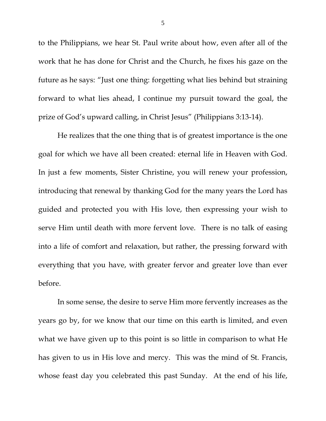to the Philippians, we hear St. Paul write about how, even after all of the work that he has done for Christ and the Church, he fixes his gaze on the future as he says: "Just one thing: forgetting what lies behind but straining forward to what lies ahead, I continue my pursuit toward the goal, the prize of God's upward calling, in Christ Jesus" (Philippians 3:13-14).

 He realizes that the one thing that is of greatest importance is the one goal for which we have all been created: eternal life in Heaven with God. In just a few moments, Sister Christine, you will renew your profession, introducing that renewal by thanking God for the many years the Lord has guided and protected you with His love, then expressing your wish to serve Him until death with more fervent love. There is no talk of easing into a life of comfort and relaxation, but rather, the pressing forward with everything that you have, with greater fervor and greater love than ever before.

 In some sense, the desire to serve Him more fervently increases as the years go by, for we know that our time on this earth is limited, and even what we have given up to this point is so little in comparison to what He has given to us in His love and mercy. This was the mind of St. Francis, whose feast day you celebrated this past Sunday. At the end of his life,

5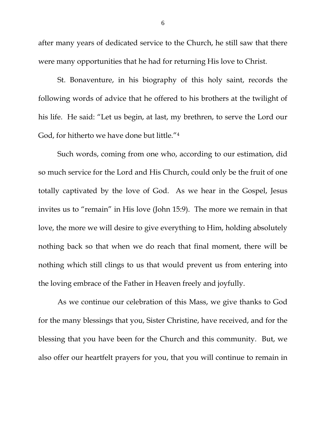after many years of dedicated service to the Church, he still saw that there were many opportunities that he had for returning His love to Christ.

St. Bonaventure, in his biography of this holy saint, records the following words of advice that he offered to his brothers at the twilight of his life. He said: "Let us begin, at last, my brethren, to serve the Lord our God, for hitherto we have done but little."4

 Such words, coming from one who, according to our estimation, did so much service for the Lord and His Church, could only be the fruit of one totally captivated by the love of God. As we hear in the Gospel, Jesus invites us to "remain" in His love (John 15:9). The more we remain in that love, the more we will desire to give everything to Him, holding absolutely nothing back so that when we do reach that final moment, there will be nothing which still clings to us that would prevent us from entering into the loving embrace of the Father in Heaven freely and joyfully.

 As we continue our celebration of this Mass, we give thanks to God for the many blessings that you, Sister Christine, have received, and for the blessing that you have been for the Church and this community. But, we also offer our heartfelt prayers for you, that you will continue to remain in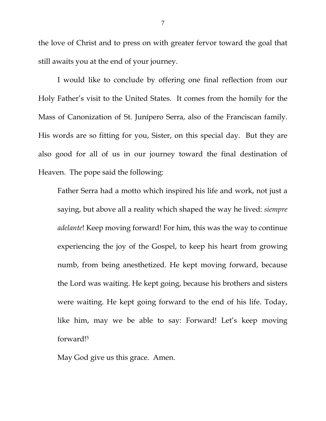the love of Christ and to press on with greater fervor toward the goal that still awaits you at the end of your journey.

 I would like to conclude by offering one final reflection from our Holy Father's visit to the United States. It comes from the homily for the Mass of Canonization of St. Junípero Serra, also of the Franciscan family. His words are so fitting for you, Sister, on this special day. But they are also good for all of us in our journey toward the final destination of Heaven. The pope said the following:

Father Serra had a motto which inspired his life and work, not just a saying, but above all a reality which shaped the way he lived: *siempre adelante*! Keep moving forward! For him, this was the way to continue experiencing the joy of the Gospel, to keep his heart from growing numb, from being anesthetized. He kept moving forward, because the Lord was waiting. He kept going, because his brothers and sisters were waiting. He kept going forward to the end of his life. Today, like him, may we be able to say: Forward! Let's keep moving forward!5

May God give us this grace. Amen.